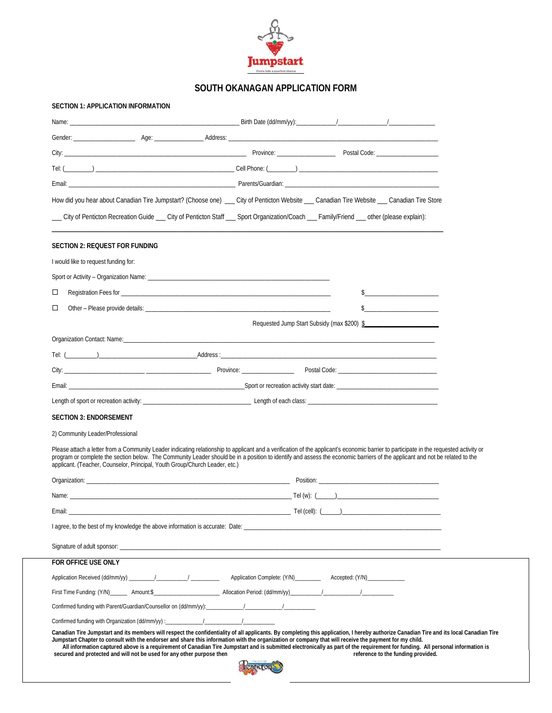

## **SOUTH OKANAGAN APPLICATION FORM**

| SECTION 1: APPLICATION INFORMATION                                          |                                                                                                                                                                                                                                                                                                                                                                                                                                                                                                                                                                            |
|-----------------------------------------------------------------------------|----------------------------------------------------------------------------------------------------------------------------------------------------------------------------------------------------------------------------------------------------------------------------------------------------------------------------------------------------------------------------------------------------------------------------------------------------------------------------------------------------------------------------------------------------------------------------|
|                                                                             |                                                                                                                                                                                                                                                                                                                                                                                                                                                                                                                                                                            |
|                                                                             |                                                                                                                                                                                                                                                                                                                                                                                                                                                                                                                                                                            |
|                                                                             |                                                                                                                                                                                                                                                                                                                                                                                                                                                                                                                                                                            |
|                                                                             |                                                                                                                                                                                                                                                                                                                                                                                                                                                                                                                                                                            |
|                                                                             |                                                                                                                                                                                                                                                                                                                                                                                                                                                                                                                                                                            |
|                                                                             | How did you hear about Canadian Tire Jumpstart? (Choose one) __ City of Penticton Website __ Canadian Tire Website __ Canadian Tire Store                                                                                                                                                                                                                                                                                                                                                                                                                                  |
|                                                                             |                                                                                                                                                                                                                                                                                                                                                                                                                                                                                                                                                                            |
| <b>SECTION 2: REQUEST FOR FUNDING</b>                                       |                                                                                                                                                                                                                                                                                                                                                                                                                                                                                                                                                                            |
| I would like to request funding for:                                        |                                                                                                                                                                                                                                                                                                                                                                                                                                                                                                                                                                            |
|                                                                             |                                                                                                                                                                                                                                                                                                                                                                                                                                                                                                                                                                            |
| □                                                                           |                                                                                                                                                                                                                                                                                                                                                                                                                                                                                                                                                                            |
| □                                                                           |                                                                                                                                                                                                                                                                                                                                                                                                                                                                                                                                                                            |
|                                                                             | Requested Jump Start Subsidy (max \$200) \$                                                                                                                                                                                                                                                                                                                                                                                                                                                                                                                                |
|                                                                             |                                                                                                                                                                                                                                                                                                                                                                                                                                                                                                                                                                            |
|                                                                             |                                                                                                                                                                                                                                                                                                                                                                                                                                                                                                                                                                            |
|                                                                             |                                                                                                                                                                                                                                                                                                                                                                                                                                                                                                                                                                            |
|                                                                             |                                                                                                                                                                                                                                                                                                                                                                                                                                                                                                                                                                            |
|                                                                             |                                                                                                                                                                                                                                                                                                                                                                                                                                                                                                                                                                            |
|                                                                             |                                                                                                                                                                                                                                                                                                                                                                                                                                                                                                                                                                            |
| <b>SECTION 3: ENDORSEMENT</b>                                               |                                                                                                                                                                                                                                                                                                                                                                                                                                                                                                                                                                            |
| 2) Community Leader/Professional                                            |                                                                                                                                                                                                                                                                                                                                                                                                                                                                                                                                                                            |
| applicant. (Teacher, Counselor, Principal, Youth Group/Church Leader, etc.) | Please attach a letter from a Community Leader indicating relationship to applicant and a verification of the applicant's economic barrier to participate in the requested activity or<br>program or complete the section below. The Community Leader should be in a position to identify and assess the economic barriers of the applicant and not be related to the                                                                                                                                                                                                      |
|                                                                             | Organization: example and the contract of the contract of the contract of the contract of the contract of the contract of the contract of the contract of the contract of the contract of the contract of the contract of the                                                                                                                                                                                                                                                                                                                                              |
|                                                                             | Name: $\frac{1}{2}$ Tel (w): $\frac{1}{2}$ Tel (w): $\frac{1}{2}$ Tel (w): $\frac{1}{2}$ Tel (w): $\frac{1}{2}$ Tel (w): $\frac{1}{2}$ Tel (w): $\frac{1}{2}$ Tel (w): $\frac{1}{2}$ Tel (w): $\frac{1}{2}$ Tel (w): $\frac{1}{2}$ Tel (w): $\frac{1}{2}$ Tel (w): $\frac{1}{$                                                                                                                                                                                                                                                                                             |
| Email:                                                                      |                                                                                                                                                                                                                                                                                                                                                                                                                                                                                                                                                                            |
|                                                                             |                                                                                                                                                                                                                                                                                                                                                                                                                                                                                                                                                                            |
|                                                                             |                                                                                                                                                                                                                                                                                                                                                                                                                                                                                                                                                                            |
| FOR OFFICE USE ONLY                                                         |                                                                                                                                                                                                                                                                                                                                                                                                                                                                                                                                                                            |
|                                                                             | Application Received (dd/mm/yy) ________/__________/ ___________ Application Complete: (Y/N)__________ Accepted: (Y/N)______________                                                                                                                                                                                                                                                                                                                                                                                                                                       |
|                                                                             |                                                                                                                                                                                                                                                                                                                                                                                                                                                                                                                                                                            |
|                                                                             |                                                                                                                                                                                                                                                                                                                                                                                                                                                                                                                                                                            |
|                                                                             |                                                                                                                                                                                                                                                                                                                                                                                                                                                                                                                                                                            |
| secured and protected and will not be used for any other purpose then       | Canadian Tire Jumpstart and its members will respect the confidentiality of all applicants. By completing this application, I hereby authorize Canadian Tire and its local Canadian Tire<br>Jumpstart Chapter to consult with the endorser and share this information with the organization or company that will receive the payment for my child.<br>All information captured above is a requirement of Canadian Tire Jumpstart and is submitted electronically as part of the requirement for funding. All personal information is<br>reference to the funding provided. |
|                                                                             | Pentreton                                                                                                                                                                                                                                                                                                                                                                                                                                                                                                                                                                  |